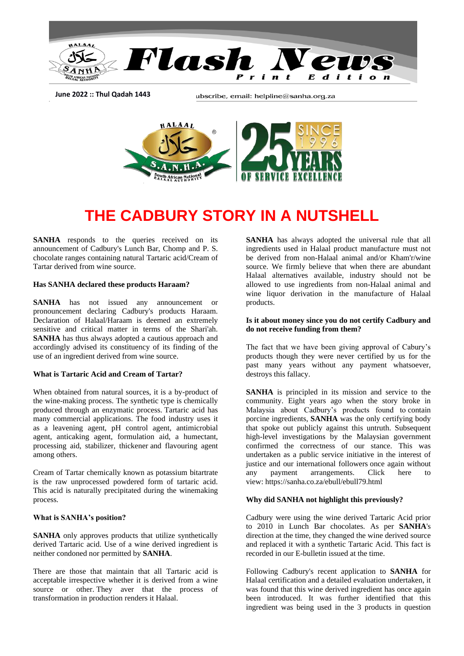

**June 2022 :: Thul Qadah 1443**

ubscribe, email: helpline@sanha.org.za



# **THE CADBURY STORY IN A NUTSHELL**

**SANHA** responds to the queries received on its announcement of Cadbury's Lunch Bar, Chomp and P. S. chocolate ranges containing natural Tartaric acid/Cream of Tartar derived from wine source.

#### **Has SANHA declared these products Haraam?**

**SANHA** has not issued any announcement or pronouncement declaring Cadbury's products Haraam. Declaration of Halaal/Haraam is deemed an extremely sensitive and critical matter in terms of the Shari'ah. **SANHA** has thus always adopted a cautious approach and accordingly advised its constituency of its finding of the use of an ingredient derived from wine source.

#### **What is Tartaric Acid and Cream of Tartar?**

When obtained from natural sources, it is a by-product of the wine-making process. The synthetic type is chemically produced through an enzymatic process. Tartaric acid has many commercial applications. The food industry uses it as a leavening agent, pH control agent, antimicrobial agent, anticaking agent, formulation aid, a humectant, processing aid, stabilizer, thickener and flavouring agent among others.

Cream of Tartar chemically known as potassium bitartrate is the raw unprocessed powdered form of tartaric acid. This acid is naturally precipitated during the winemaking process.

#### **What is SANHA's position?**

**SANHA** only approves products that utilize synthetically derived Tartaric acid. Use of a wine derived ingredient is neither condoned nor permitted by **SANHA**.

There are those that maintain that all Tartaric acid is acceptable irrespective whether it is derived from a wine source or other. They aver that the process of transformation in production renders it Halaal.

**SANHA** has always adopted the universal rule that all ingredients used in Halaal product manufacture must not be derived from non-Halaal animal and/or Kham'r/wine source. We firmly believe that when there are abundant Halaal alternatives available, industry should not be allowed to use ingredients from non-Halaal animal and wine liquor derivation in the manufacture of Halaal products.

#### **Is it about money since you do not certify Cadbury and do not receive funding from them?**

The fact that we have been giving approval of Cabury's products though they were never certified by us for the past many years without any payment whatsoever, destroys this fallacy.

**SANHA** is principled in its mission and service to the community. Eight years ago when the story broke in Malaysia about Cadbury's products found to contain porcine ingredients, **SANHA** was the only certifying body that spoke out publicly against this untruth. Subsequent high-level investigations by the Malaysian government confirmed the correctness of our stance. This was undertaken as a public service initiative in the interest of justice and our international followers once again without any payment arrangements. Click here to view: https://sanha.co.za/ebull/ebull79.html

#### **Why did SANHA not highlight this previously?**

Cadbury were using the wine derived Tartaric Acid prior to 2010 in Lunch Bar chocolates. As per **SANHA**'s direction at the time, they changed the wine derived source and replaced it with a synthetic Tartaric Acid. This fact is recorded in our E-bulletin issued at the time.

Following Cadbury's recent application to **SANHA** for Halaal certification and a detailed evaluation undertaken, it was found that this wine derived ingredient has once again been introduced. It was further identified that this ingredient was being used in the 3 products in question